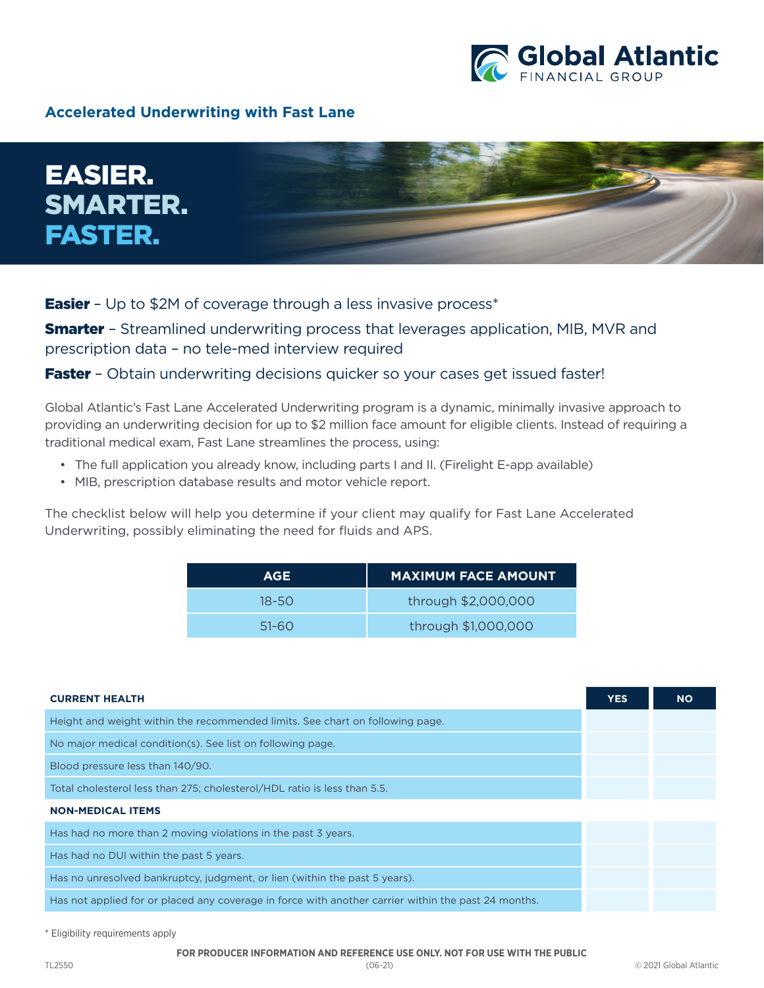

## **Accelerated Underwriting with Fast Lane**



**Easier** - Up to \$2M of coverage through a less invasive process<sup>\*</sup>

**Smarter** - Streamlined underwriting process that leverages application, MIB, MVR and prescription data – no tele-med interview required

**Faster** - Obtain underwriting decisions quicker so your cases get issued faster!

Global Atlantic's Fast Lane Accelerated Underwriting program is a dynamic, minimally invasive approach to providing an underwriting decision for up to \$2 million face amount for eligible clients. Instead of requiring a traditional medical exam, Fast Lane streamlines the process, using:

- The full application you already know, including parts I and II. (Firelight E-app available)
- MIB, prescription database results and motor vehicle report.

The checklist below will help you determine if your client may qualify for Fast Lane Accelerated Underwriting, possibly eliminating the need for fluids and APS.

| <b>AGE</b> | <b>MAXIMUM FACE AMOUNT</b> |  |
|------------|----------------------------|--|
| $18 - 50$  | through \$2,000,000        |  |
| 51-60      | through \$1,000,000        |  |

| <b>CURRENT HEALTH</b>                                                                               | <b>YES</b> | <b>NO</b> |
|-----------------------------------------------------------------------------------------------------|------------|-----------|
| Height and weight within the recommended limits. See chart on following page.                       |            |           |
| No major medical condition(s). See list on following page.                                          |            |           |
| Blood pressure less than 140/90.                                                                    |            |           |
| Total cholesterol less than 275; cholesterol/HDL ratio is less than 5.5.                            |            |           |
| <b>NON-MEDICAL ITEMS</b>                                                                            |            |           |
| Has had no more than 2 moving violations in the past 3 years.                                       |            |           |
| Has had no DUI within the past 5 years.                                                             |            |           |
| Has no unresolved bankruptcy, judgment, or lien (within the past 5 years).                          |            |           |
| Has not applied for or placed any coverage in force with another carrier within the past 24 months. |            |           |
|                                                                                                     |            |           |

\* Eligibility requirements apply

**FOR PRODUCER INFORMATION AND REFERENCE USE ONLY. NOT FOR USE WITH THE PUBLIC**